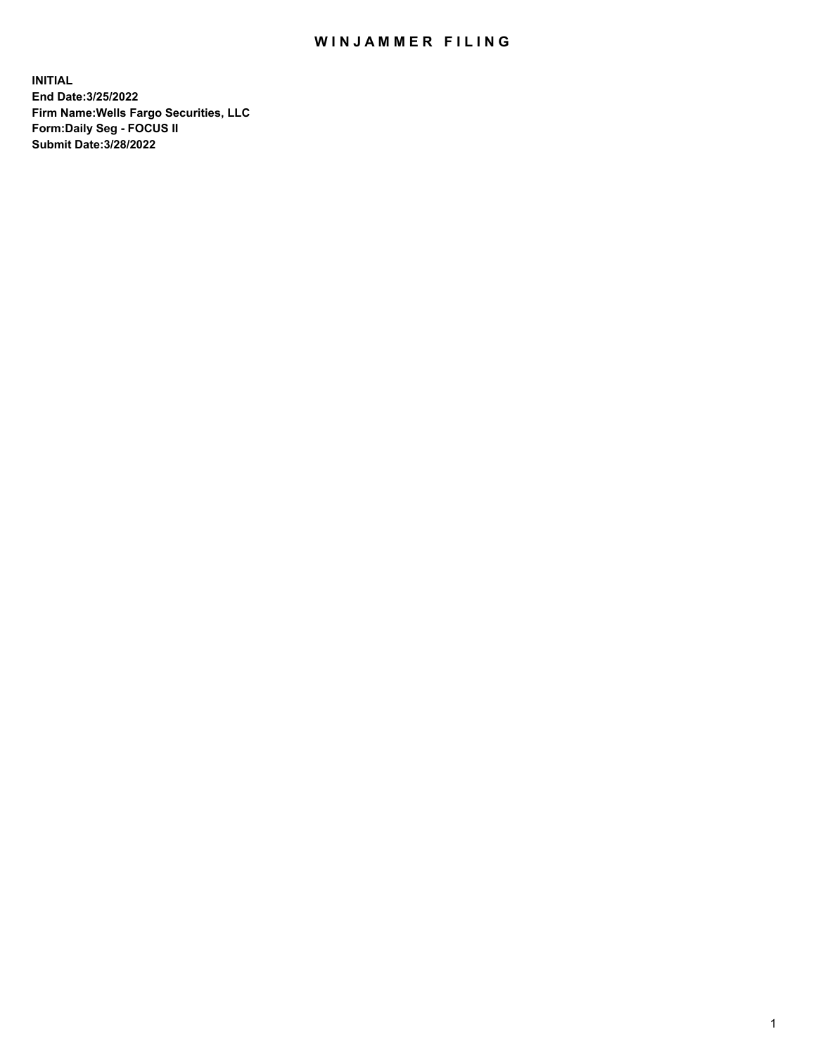## WIN JAMMER FILING

**INITIAL End Date:3/25/2022 Firm Name:Wells Fargo Securities, LLC Form:Daily Seg - FOCUS II Submit Date:3/28/2022**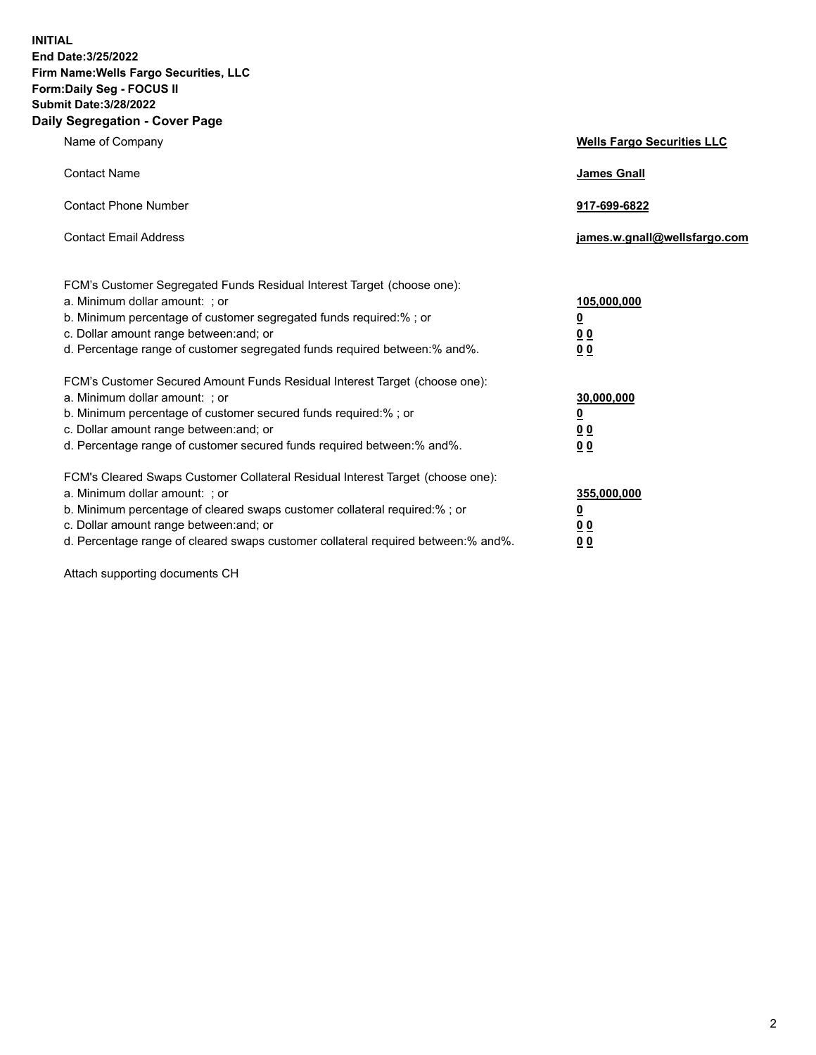**INITIAL End Date:3/25/2022 Firm Name:Wells Fargo Securities, LLC Form:Daily Seg - FOCUS II Submit Date:3/28/2022 Daily Segregation - Cover Page**

| Name of Company                                                                                                                                                                                                                                                                                                                | <b>Wells Fargo Securities LLC</b>                          |
|--------------------------------------------------------------------------------------------------------------------------------------------------------------------------------------------------------------------------------------------------------------------------------------------------------------------------------|------------------------------------------------------------|
| <b>Contact Name</b>                                                                                                                                                                                                                                                                                                            | <b>James Gnall</b>                                         |
| <b>Contact Phone Number</b>                                                                                                                                                                                                                                                                                                    | 917-699-6822                                               |
| <b>Contact Email Address</b>                                                                                                                                                                                                                                                                                                   | james.w.gnall@wellsfargo.com                               |
| FCM's Customer Segregated Funds Residual Interest Target (choose one):<br>a. Minimum dollar amount: ; or<br>b. Minimum percentage of customer segregated funds required:% ; or<br>c. Dollar amount range between: and; or<br>d. Percentage range of customer segregated funds required between:% and%.                         | 105,000,000<br><u>0</u><br>0 <sub>0</sub><br>00            |
| FCM's Customer Secured Amount Funds Residual Interest Target (choose one):<br>a. Minimum dollar amount: ; or<br>b. Minimum percentage of customer secured funds required:%; or<br>c. Dollar amount range between: and; or<br>d. Percentage range of customer secured funds required between:% and%.                            | 30,000,000<br><u>0</u><br>0 <sub>0</sub><br>0 <sub>0</sub> |
| FCM's Cleared Swaps Customer Collateral Residual Interest Target (choose one):<br>a. Minimum dollar amount: ; or<br>b. Minimum percentage of cleared swaps customer collateral required:% ; or<br>c. Dollar amount range between: and; or<br>d. Percentage range of cleared swaps customer collateral required between:% and%. | 355,000,000<br><u>0</u><br>00<br>00                        |

Attach supporting documents CH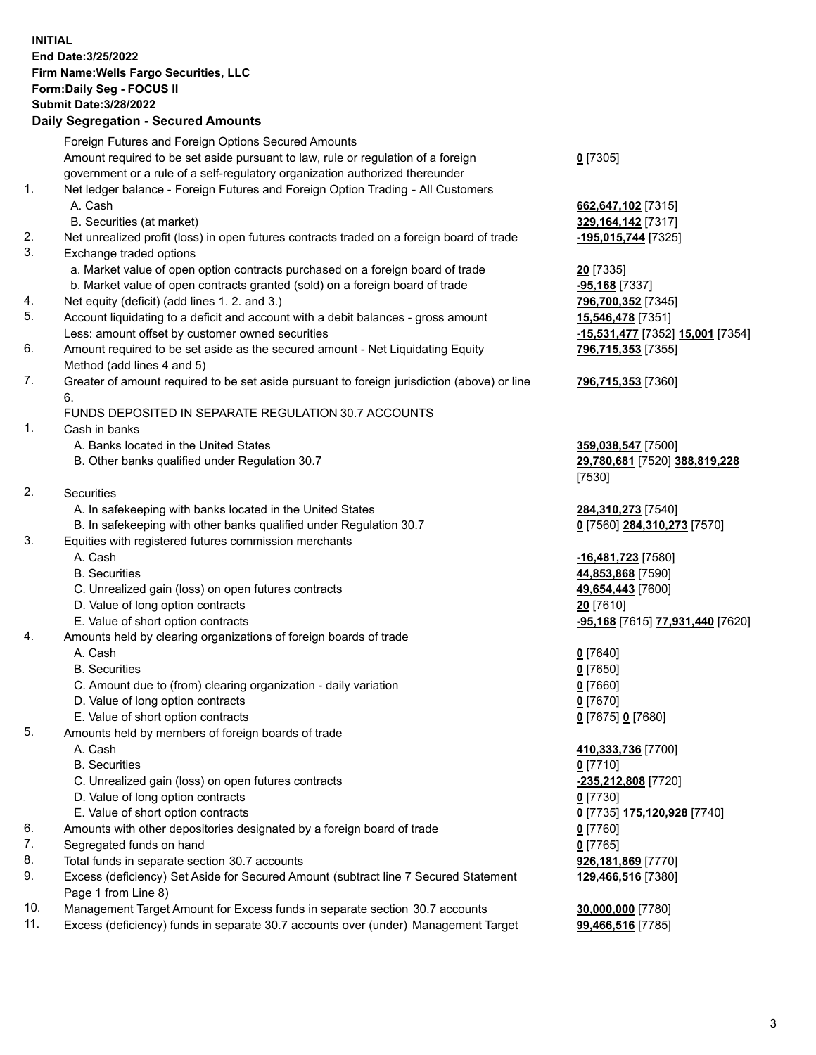**INITIAL End Date:3/25/2022 Firm Name:Wells Fargo Securities, LLC Form:Daily Seg - FOCUS II Submit Date:3/28/2022 Daily Segregation - Secured Amounts**

Foreign Futures and Foreign Options Secured Amounts Amount required to be set aside pursuant to law, rule or regulation of a foreign government or a rule of a self-regulatory organization authorized thereunder **0** [7305] 1. Net ledger balance - Foreign Futures and Foreign Option Trading - All Customers A. Cash **662,647,102** [7315] B. Securities (at market) **329,164,142** [7317] 2. Net unrealized profit (loss) in open futures contracts traded on a foreign board of trade **-195,015,744** [7325] 3. Exchange traded options a. Market value of open option contracts purchased on a foreign board of trade **20** [7335] b. Market value of open contracts granted (sold) on a foreign board of trade **-95,168** [7337] 4. Net equity (deficit) (add lines 1. 2. and 3.) **796,700,352** [7345] 5. Account liquidating to a deficit and account with a debit balances - gross amount **15,546,478** [7351] Less: amount offset by customer owned securities **-15,531,477** [7352] **15,001** [7354] 6. Amount required to be set aside as the secured amount - Net Liquidating Equity Method (add lines 4 and 5) **796,715,353** [7355] 7. Greater of amount required to be set aside pursuant to foreign jurisdiction (above) or line 6. **796,715,353** [7360] FUNDS DEPOSITED IN SEPARATE REGULATION 30.7 ACCOUNTS 1. Cash in banks A. Banks located in the United States **359,038,547** [7500] B. Other banks qualified under Regulation 30.7 **29,780,681** [7520] **388,819,228** [7530] 2. Securities A. In safekeeping with banks located in the United States **284,310,273** [7540] B. In safekeeping with other banks qualified under Regulation 30.7 **0** [7560] **284,310,273** [7570] 3. Equities with registered futures commission merchants A. Cash **-16,481,723** [7580] B. Securities **44,853,868** [7590] C. Unrealized gain (loss) on open futures contracts **49,654,443** [7600] D. Value of long option contracts **20** [7610] E. Value of short option contracts **-95,168** [7615] **77,931,440** [7620] 4. Amounts held by clearing organizations of foreign boards of trade A. Cash **0** [7640] B. Securities **0** [7650] C. Amount due to (from) clearing organization - daily variation **0** [7660] D. Value of long option contracts **0** [7670] E. Value of short option contracts **0** [7675] **0** [7680] 5. Amounts held by members of foreign boards of trade A. Cash **410,333,736** [7700] B. Securities **0** [7710] C. Unrealized gain (loss) on open futures contracts **-235,212,808** [7720] D. Value of long option contracts **0** [7730] E. Value of short option contracts **0** [7735] **175,120,928** [7740] 6. Amounts with other depositories designated by a foreign board of trade **0** [7760] 7. Segregated funds on hand **0** [7765]

- 8. Total funds in separate section 30.7 accounts **926,181,869** [7770]
- 9. Excess (deficiency) Set Aside for Secured Amount (subtract line 7 Secured Statement Page 1 from Line 8)
- 10. Management Target Amount for Excess funds in separate section 30.7 accounts **30,000,000** [7780]
- 11. Excess (deficiency) funds in separate 30.7 accounts over (under) Management Target **99,466,516** [7785]

**129,466,516** [7380]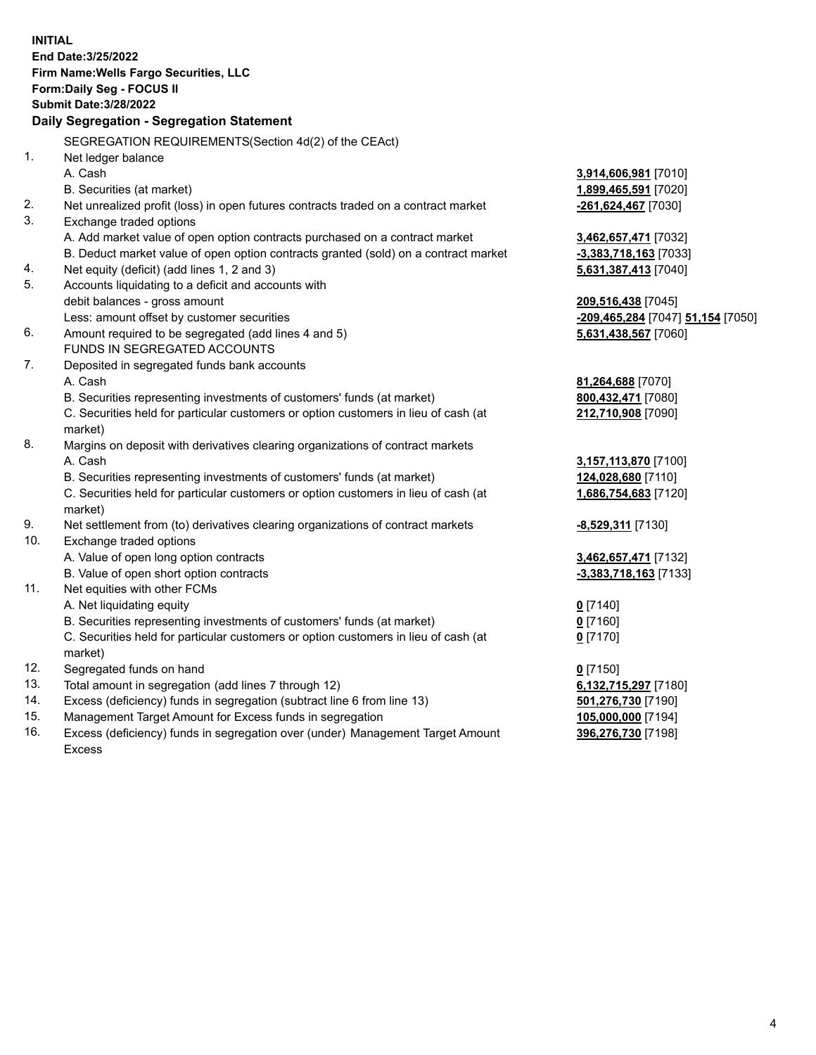**INITIAL End Date:3/25/2022 Firm Name:Wells Fargo Securities, LLC Form:Daily Seg - FOCUS II Submit Date:3/28/2022 Daily Segregation - Segregation Statement** SEGREGATION REQUIREMENTS(Section 4d(2) of the CEAct) 1. Net ledger balance A. Cash **3,914,606,981** [7010] B. Securities (at market) **1,899,465,591** [7020] 2. Net unrealized profit (loss) in open futures contracts traded on a contract market **-261,624,467** [7030] 3. Exchange traded options A. Add market value of open option contracts purchased on a contract market **3,462,657,471** [7032] B. Deduct market value of open option contracts granted (sold) on a contract market **-3,383,718,163** [7033] 4. Net equity (deficit) (add lines 1, 2 and 3) **5,631,387,413** [7040] 5. Accounts liquidating to a deficit and accounts with debit balances - gross amount **209,516,438** [7045] Less: amount offset by customer securities **-209,465,284** [7047] **51,154** [7050] 6. Amount required to be segregated (add lines 4 and 5) **5,631,438,567** [7060] FUNDS IN SEGREGATED ACCOUNTS 7. Deposited in segregated funds bank accounts A. Cash **81,264,688** [7070] B. Securities representing investments of customers' funds (at market) **800,432,471** [7080] C. Securities held for particular customers or option customers in lieu of cash (at market) **212,710,908** [7090] 8. Margins on deposit with derivatives clearing organizations of contract markets A. Cash **3,157,113,870** [7100] B. Securities representing investments of customers' funds (at market) **124,028,680** [7110] C. Securities held for particular customers or option customers in lieu of cash (at market) **1,686,754,683** [7120] 9. Net settlement from (to) derivatives clearing organizations of contract markets **-8,529,311** [7130] 10. Exchange traded options A. Value of open long option contracts **3,462,657,471** [7132] B. Value of open short option contracts **-3,383,718,163** [7133] 11. Net equities with other FCMs A. Net liquidating equity **0** [7140] B. Securities representing investments of customers' funds (at market) **0** [7160] C. Securities held for particular customers or option customers in lieu of cash (at market) **0** [7170] 12. Segregated funds on hand **0** [7150] 13. Total amount in segregation (add lines 7 through 12) **6,132,715,297** [7180] 14. Excess (deficiency) funds in segregation (subtract line 6 from line 13) **501,276,730** [7190] 15. Management Target Amount for Excess funds in segregation **105,000,000** [7194] 16. Excess (deficiency) funds in segregation over (under) Management Target Amount Excess **396,276,730** [7198]